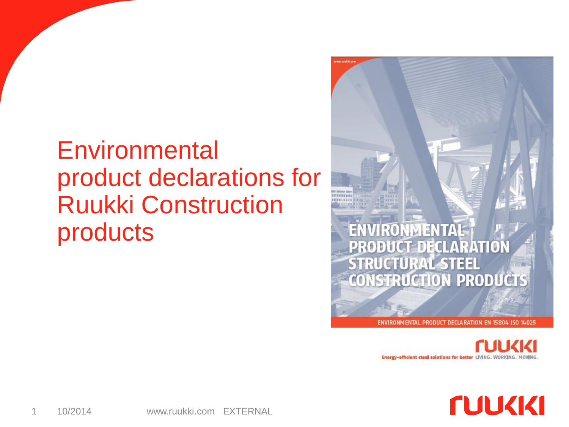#### **Environmental** product declarations for Ruukki Construction products



ENVIRONMENTAL PRODUCT DECLARATION EN 15804 ISO 14025

Energy-efficient steel solutions for better LIVING.

**NUCKIKI**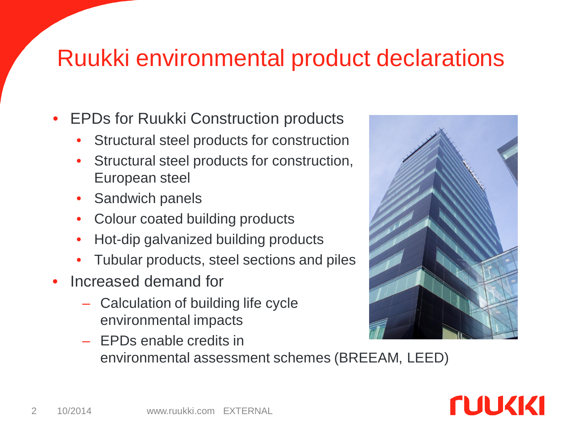#### Ruukki environmental product declarations

- **EPDs for Ruukki Construction products** 
	- Structural steel products for construction
	- Structural steel products for construction, European steel
	- Sandwich panels
	- Colour coated building products
	- Hot-dip galvanized building products
	- Tubular products, steel sections and piles
- Increased demand for
	- Calculation of building life cycle environmental impacts
	- EPDs enable credits in environmental assessment schemes (BREEAM, LEED)

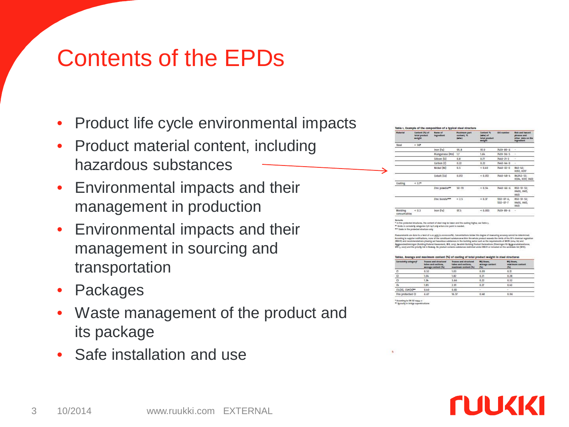#### Contents of the EPDs

- Product life cycle environmental impacts
- Product material content, including hazardous substances
- Environmental impacts and their management in production
- Environmental impacts and their management in sourcing and transportation
- **Packages**
- Waste management of the product and its package
- Safe installation and use

| <b>Maturial</b>        | Content (%) of<br>total product<br><b>weight</b> | Rame of<br><b>Ingredient</b> | <b>Meximum part</b><br>content <sub>N</sub><br>twhen? | <b>Contact N.</b><br>he index<br>total product<br>weight | <b>CAS</b> mamber                    | Disk and har ard<br>phreases and<br>other data on the<br><b>Ingradiant</b> |
|------------------------|--------------------------------------------------|------------------------------|-------------------------------------------------------|----------------------------------------------------------|--------------------------------------|----------------------------------------------------------------------------|
| Stopl                  | > 90                                             |                              |                                                       |                                                          |                                      |                                                                            |
|                        |                                                  | Iron (Fe)                    | 95.8                                                  | 91.9                                                     | 7439-89-6                            | ٠                                                                          |
|                        |                                                  | Manganese (Mn)               | 17                                                    | 1.64                                                     | 7439-96-5                            | $\sim$                                                                     |
|                        |                                                  | Silicon (SI)                 | 0.B                                                   | 0.77                                                     | 7440-21-3                            | $\sim$                                                                     |
|                        |                                                  | Carbon (C)                   | 0.72                                                  | 0.22                                                     | $7440 - 44 - 0$                      | ٠                                                                          |
|                        |                                                  | Nickel (Ni)                  | $0.5^{\circ}$                                         | < 0.49                                                   | $7440 - 02 - 0$                      | $95.0 - 0.3$<br><b>H351, H317</b>                                          |
|                        |                                                  | Cobalt (Co)                  | 0.012                                                 | < 0.012                                                  | 7440-48-4                            | RA2/43-53:<br>H334, H317, H413                                             |
| Coating<br>w.          | 4.374                                            |                              |                                                       |                                                          |                                      |                                                                            |
|                        |                                                  | Zinc powder**                | $50 - 70$                                             | 0.54                                                     | 7440-66-6                            | $R50-51-53$ ;<br>H400, H411<br><b>HAT3</b>                                 |
|                        |                                                  | Zinc horatows                | 2.5                                                   | & 0.37                                                   | $1332 - 07 - 6$ .<br>$1332 - 07 - 7$ | $R50 - 51 - 53$<br>H400, H41L<br><b>H413</b>                               |
| Welding<br>consumables | < 0.3                                            | Iron (Fe)                    | 97.5                                                  | < 0.003                                                  | 7439-89-6                            | $\overline{\phantom{a}}$                                                   |

fire-protected structures, the content of steel may be lower and the quetter highes are Table a correshifty categories CyH-Q<sub>i</sub>H only when zinc paint is meeded.<br>This protected structure only

en dons la a lovel of e.co.uply (e.eeoooooofk). Concentrations below this degree of monsaring accuracy cennot be determined.<br>getee motifications, noove of the canadissert substances within the whole product sourceds the li ment, INE, 2015), Sevelah Suilding Product Declarations (Föreningen für Byggvarudeklandt<br>reduct contains substances nedected under RIMM or included on the candidate list (TAM)

| Connectivity category*  | Trusses and structural<br>tubes and sections.<br>average content (%) | <b>Trustes and structural</b><br>tabes and sections.<br>maximum content (%) | <b>WO Beam</b><br>avarage contant<br>(26) | WO Beam.<br>macinum content.<br>(51) |  |
|-------------------------|----------------------------------------------------------------------|-----------------------------------------------------------------------------|-------------------------------------------|--------------------------------------|--|
| 0.52<br>α               |                                                                      | 1.03                                                                        | 0.09                                      | 0.72                                 |  |
| 1.04<br>$\circ$         |                                                                      | 1.82                                                                        | 0.21                                      | 0.28                                 |  |
| G<br>1.34               |                                                                      | 3.66                                                                        | 0.22                                      | 0.52                                 |  |
| 0 <sub>k</sub>          | 1.85                                                                 | 2.91                                                                        | 0.27                                      | 0.43                                 |  |
| <b>CSL(H), CSM(H)**</b> | 0.49                                                                 | 0.83                                                                        |                                           |                                      |  |
| Fire protected (2)      | 6.67                                                                 | 16.57                                                                       | 0.48                                      | 0.96                                 |  |

\* According to CN 150 top<sub>Ma</sub>-o<br>\*\* <mark>Typically</mark> in bridge superstructure

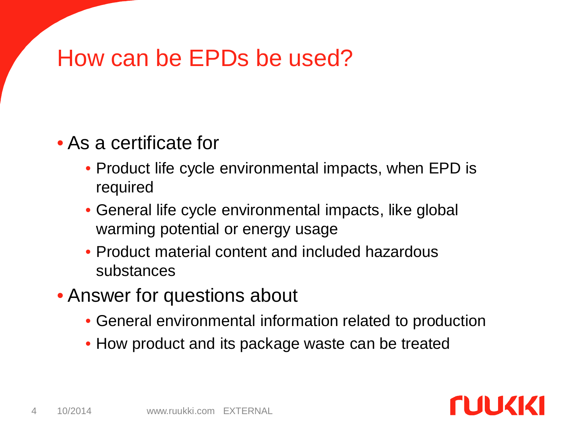#### How can be EPDs be used?

#### • As a certificate for

- Product life cycle environmental impacts, when EPD is required
- General life cycle environmental impacts, like global warming potential or energy usage
- Product material content and included hazardous substances
- Answer for questions about
	- General environmental information related to production
	- How product and its package waste can be treated

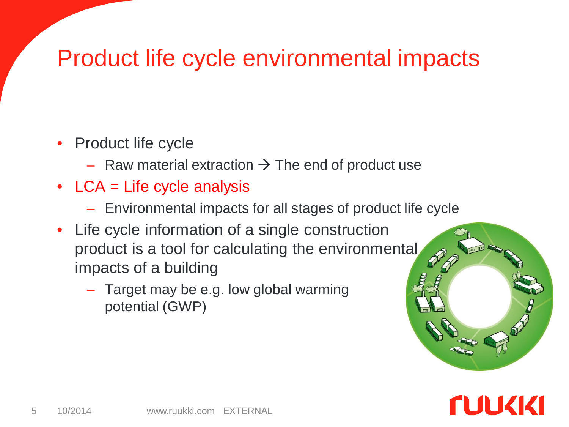#### Product life cycle environmental impacts

- Product life cycle
	- Raw material extraction  $\rightarrow$  The end of product use
- LCA = Life cycle analysis
	- Environmental impacts for all stages of product life cycle
- Life cycle information of a single construction product is a tool for calculating the environmental impacts of a building
	- Target may be e.g. low global warming potential (GWP)

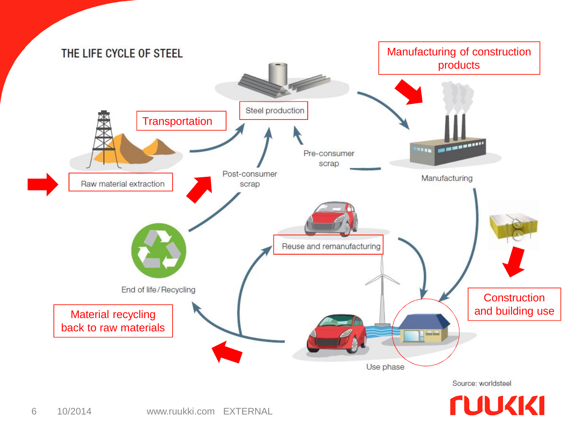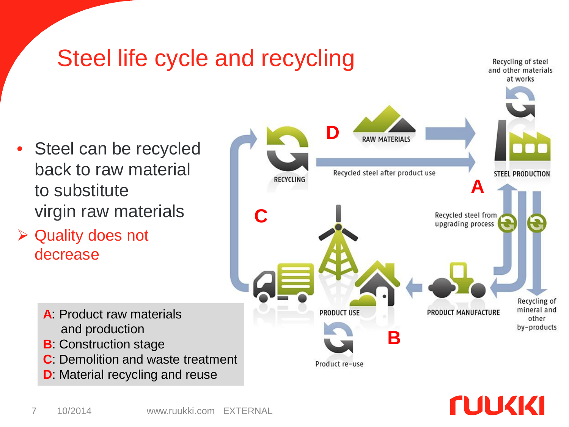

#### **NUKKI**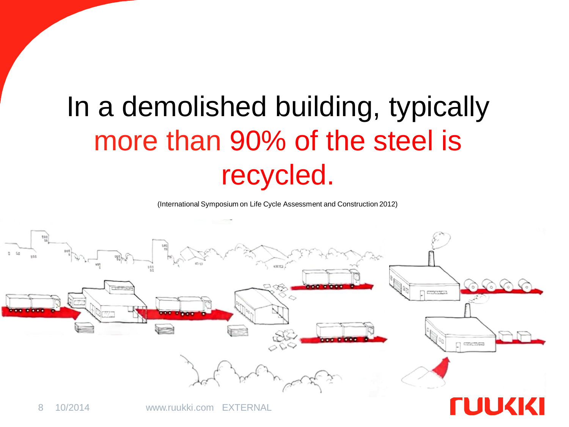## In a demolished building, typically more than 90% of the steel is recycled.

(International Symposium on Life Cycle Assessment and Construction 2012)

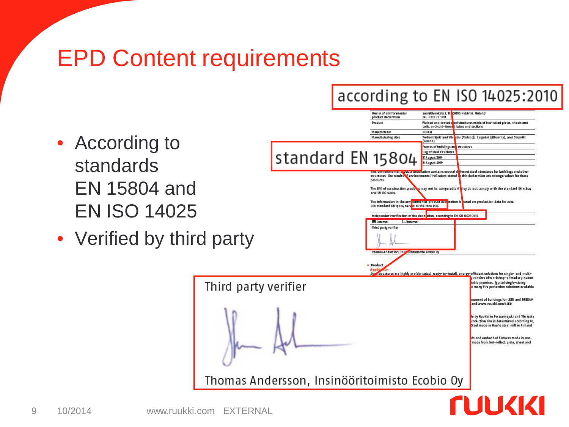#### EPD Content requirements

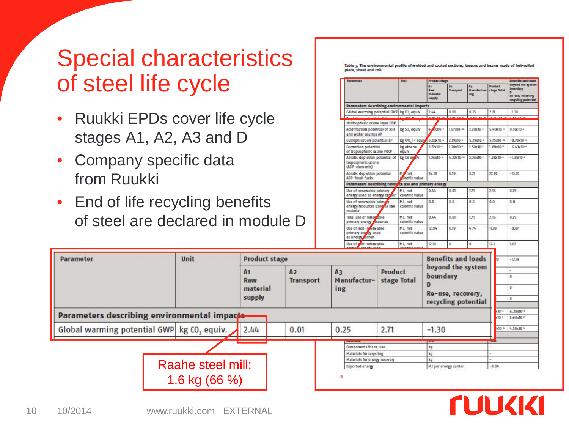#### Special characteristics of steel life cycle

- Ruukki EPDs cover life cycle stages A1, A2, A3 and D
- Company specific data from Ruukki
- End of life recycling benefits of steel are declared in module D

witts and loss beyond the syste Ay<br>Manufactur-<br>Ing Product boundary **Tax** stage lots materia Ro-use, recovery supply regiding poter Parameters describing environmental impacts Global warming potential GNP kg CD, equiv. 2.44  $0.01$  $0.25$  $-1.30$  $2.71$ stratospheric or one layer ODP Acidification potential of soll kg S0, equiv  $\frac{1}{2}$  Ref $10-1$  $1.07x10-x$  $7.90x10 5.48x10$ 0.16x10-a and water sources AP Eutrophication potential EP  $-878x10-x$ kg (PO<sub>a</sub>)-r equ  $5.00x10 10x10-i$  $5.70x10-1$  $5.75x10-$ Formation potential kg ethene  $3.77x10^{-4}$  $.20x10^{-1}$  $1.50x10^{-1}$ .80x10  $6.43x10^{-4}$ of tropospheric arone POCP equiv Ablotic depletion potential of  $.26x10 2.76x10 .28x10 -1.30(10$ kg 58 eg 5.70x10tropospheric crone (ADP-elements) Abiotic depletion potential M/ net 24.19 0.19  $3.21$ 21.59  $-13.70$ ADP-fossil fuels **Indficiales** Parameters describing resource use and primary energy Use of renewable primary MJ, net 0.44  $0.01$  $171$ 2.16 8.75 energy used as energy car to calorific value Use of renewable prima MJ, net  $0.0^{\circ}$  $0.0$  $0.0$ 0.0  $0.0$ calorific value energy resources used **CIN** material Total use of renewable  $0.44$  $0.01$ 2.16  $0.75$ MJ, net  $177$ primary energy **ANNUSERS** calcelfle value Use of non-real awable<br>primary on ay used<br>as energy arrier MJ, net 12.84 0.39 4.74 17,78  $-0.87$ calorific value Use of yon-renawable 1.67 MJ, net 12.30  $12.1$ 

**Benefits and loads Parameter** Unit **Product stage**  $-17.18$ beyond the system  $A1$  $A2$ **Product** A3 boundary ١o Raw **Transport** Manufacturstage Total material l a ing Re-use, recovery, supply o recycling potential  $(10^{-1}$  6.28x10<sup>-1</sup> Parameters describing environmental impacts 3.66x10<sup>-2</sup> Global warming potential GWP kg CO<sub>2</sub> equiv. 2.44  $0.01$ 0.25 2.71  $-1.30$ x10<sup>-4</sup> 4.39x10<sup>-4</sup> Components for re-use kg Materials for regicling kg Materials for energy recovery kg Raahe steel mill: **Exported energy** MJ per energy camler  $-0.04$ 1.6 kg (66 %)**NUCKKI**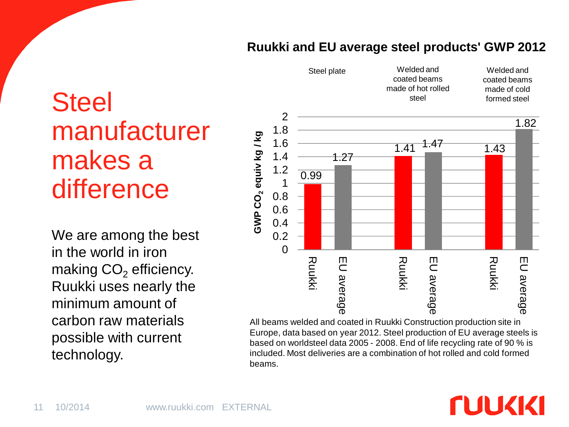#### **Ruukki and EU average steel products' GWP 2012**

### **Steel** manufacturer makes a difference

We are among the best in the world in iron making  $CO<sub>2</sub>$  efficiency. Ruukki uses nearly the minimum amount of carbon raw materials possible with current technology.



All beams welded and coated in Ruukki Construction production site in Europe, data based on year 2012. Steel production of EU average steels is based on worldsteel data 2005 - 2008. End of life recycling rate of 90 % is included. Most deliveries are a combination of hot rolled and cold formed beams.

#### **NUKKI**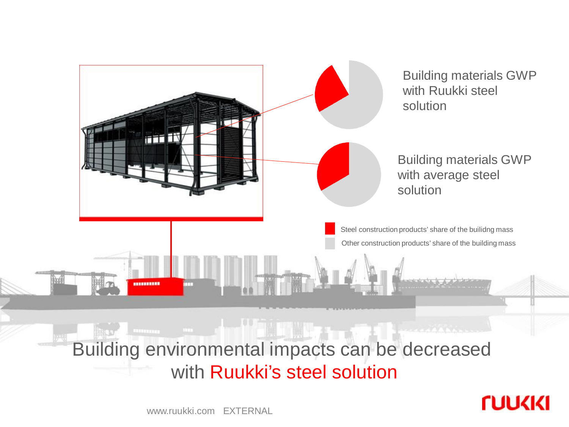

**NUVKIKI** 

www.ruukki.com EXTERNAL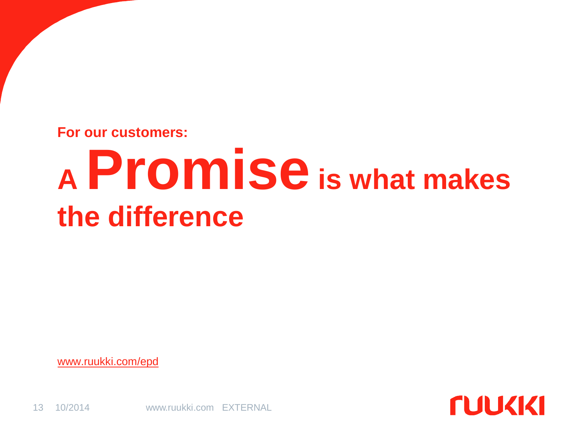**For our customers:**

# **<sup>A</sup> Promiseis what makes the difference**

**FUUKKI** 

[www.ruukki.com/epd](http://www.ruukki.com/epd)

13 10/2014 www.ruukki.com EXTERNAL